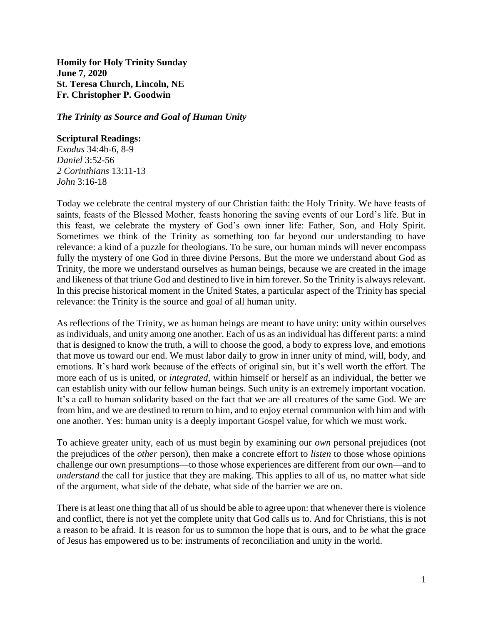**Homily for Holy Trinity Sunday June 7, 2020 St. Teresa Church, Lincoln, NE Fr. Christopher P. Goodwin**

*The Trinity as Source and Goal of Human Unity*

# **Scriptural Readings:**

*Exodus* 34:4b-6, 8-9 *Daniel* 3:52-56 *2 Corinthians* 13:11-13 *John* 3:16-18

Today we celebrate the central mystery of our Christian faith: the Holy Trinity. We have feasts of saints, feasts of the Blessed Mother, feasts honoring the saving events of our Lord's life. But in this feast, we celebrate the mystery of God's own inner life: Father, Son, and Holy Spirit. Sometimes we think of the Trinity as something too far beyond our understanding to have relevance: a kind of a puzzle for theologians. To be sure, our human minds will never encompass fully the mystery of one God in three divine Persons. But the more we understand about God as Trinity, the more we understand ourselves as human beings, because we are created in the image and likeness of that triune God and destined to live in him forever. So the Trinity is always relevant. In this precise historical moment in the United States, a particular aspect of the Trinity has special relevance: the Trinity is the source and goal of all human unity.

As reflections of the Trinity, we as human beings are meant to have unity: unity within ourselves as individuals, and unity among one another. Each of us as an individual has different parts: a mind that is designed to know the truth, a will to choose the good, a body to express love, and emotions that move us toward our end. We must labor daily to grow in inner unity of mind, will, body, and emotions. It's hard work because of the effects of original sin, but it's well worth the effort. The more each of us is united, or *integrated*, within himself or herself as an individual, the better we can establish unity with our fellow human beings. Such unity is an extremely important vocation. It's a call to human solidarity based on the fact that we are all creatures of the same God. We are from him, and we are destined to return to him, and to enjoy eternal communion with him and with one another. Yes: human unity is a deeply important Gospel value, for which we must work.

To achieve greater unity, each of us must begin by examining our *own* personal prejudices (not the prejudices of the *other* person), then make a concrete effort to *listen* to those whose opinions challenge our own presumptions—to those whose experiences are different from our own—and to *understand* the call for justice that they are making. This applies to all of us, no matter what side of the argument, what side of the debate, what side of the barrier we are on.

There is at least one thing that all of us should be able to agree upon: that whenever there is violence and conflict, there is not yet the complete unity that God calls us to. And for Christians, this is not a reason to be afraid. It is reason for us to summon the hope that is ours, and to *be* what the grace of Jesus has empowered us to be: instruments of reconciliation and unity in the world.